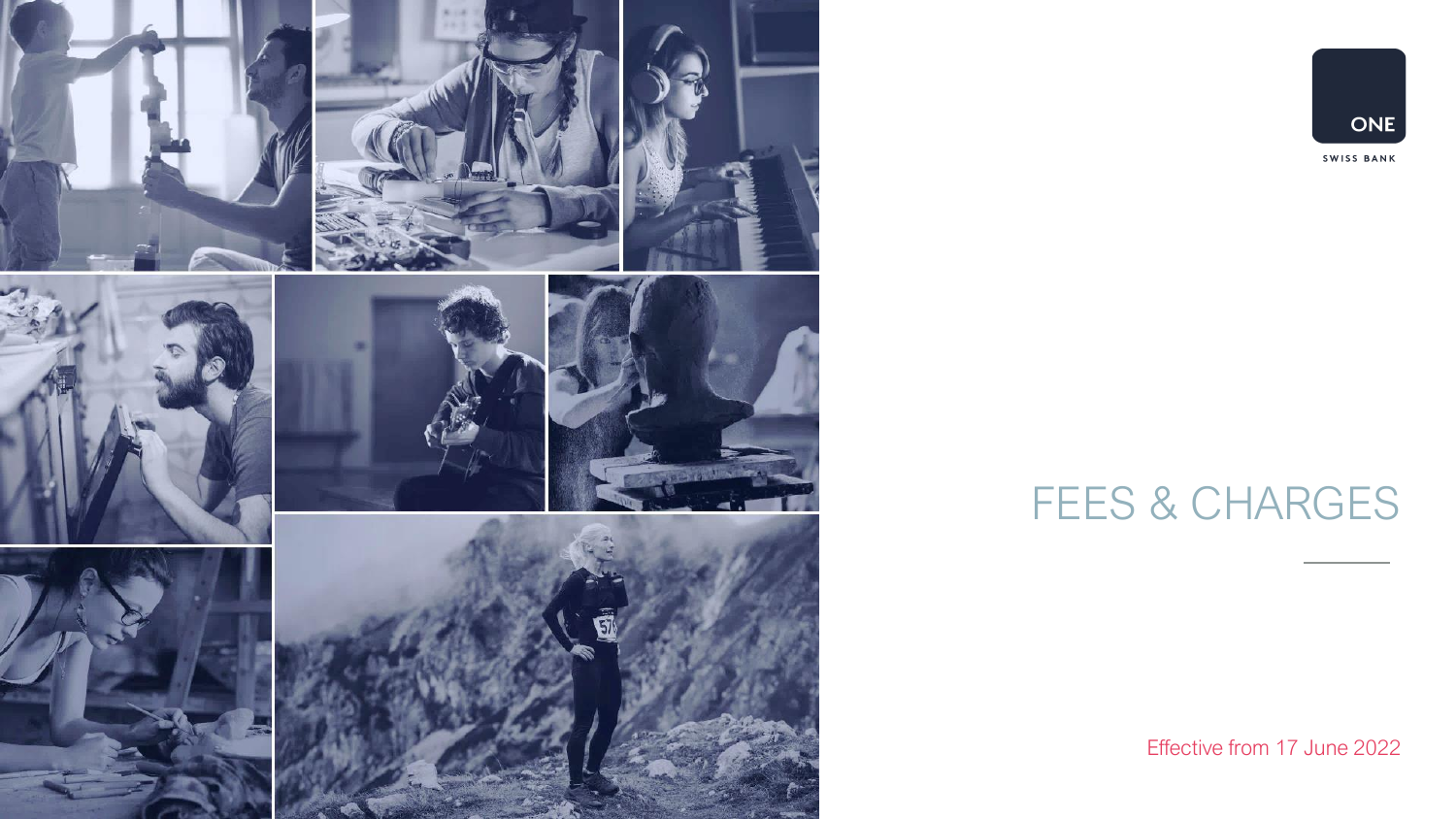

# ONE

SWISS BANK

# FEES & CHARGES

Effective from 17 June 2022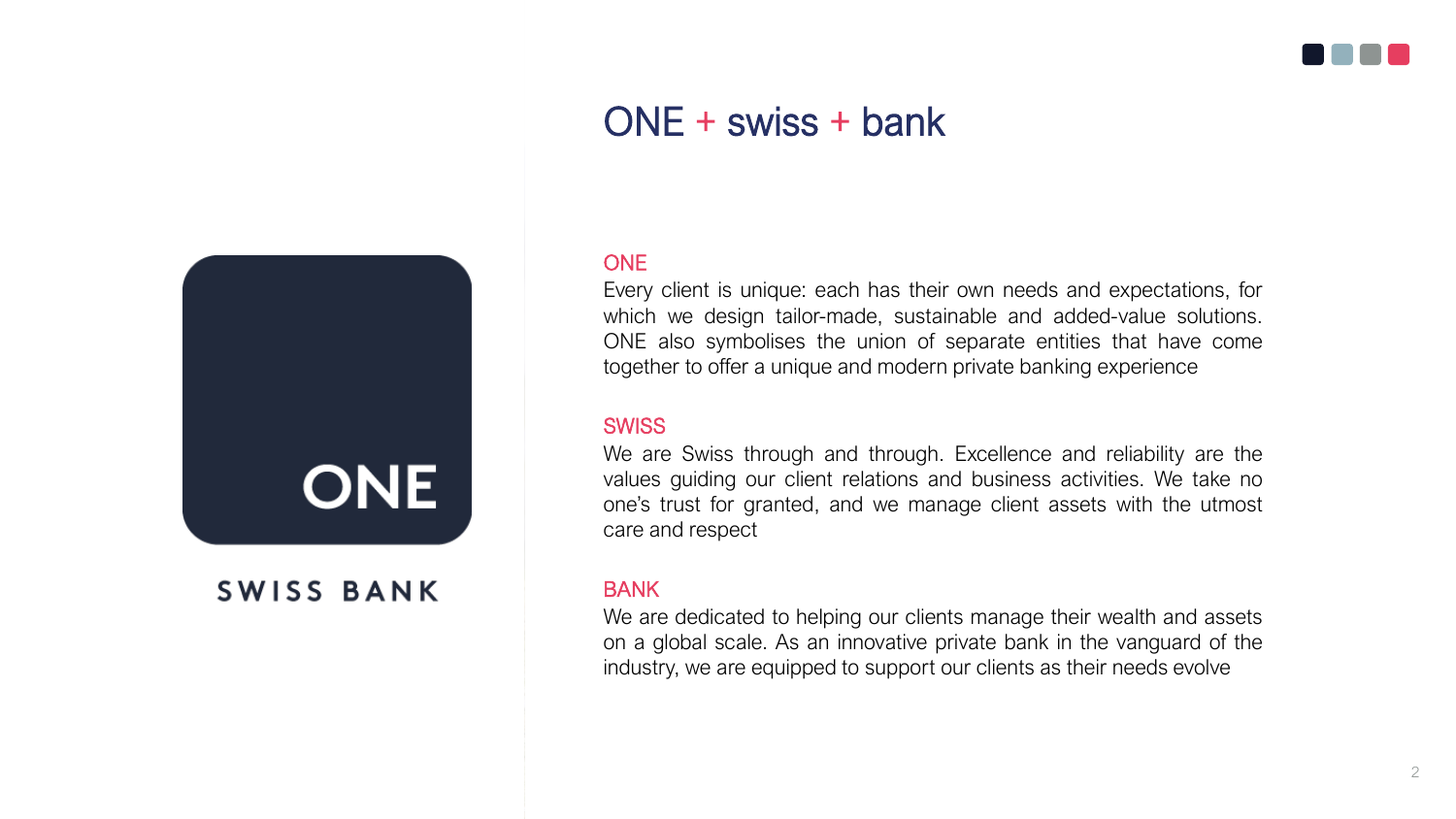

# ONE + swiss + bank



SWISS BANK

### **ONE**

Every client is unique: each has their own needs and expectations, for which we design tailor-made, sustainable and added-value solutions. ONE also symbolises the union of separate entities that have come together to offer a unique and modern private banking experience

### **SWISS**

We are Swiss through and through. Excellence and reliability are the values guiding our client relations and business activities. We take no one's trust for granted, and we manage client assets with the utmost care and respect

### BANK

We are dedicated to helping our clients manage their wealth and assets on a global scale. As an innovative private bank in the vanguard of the industry, we are equipped to support our clients as their needs evolve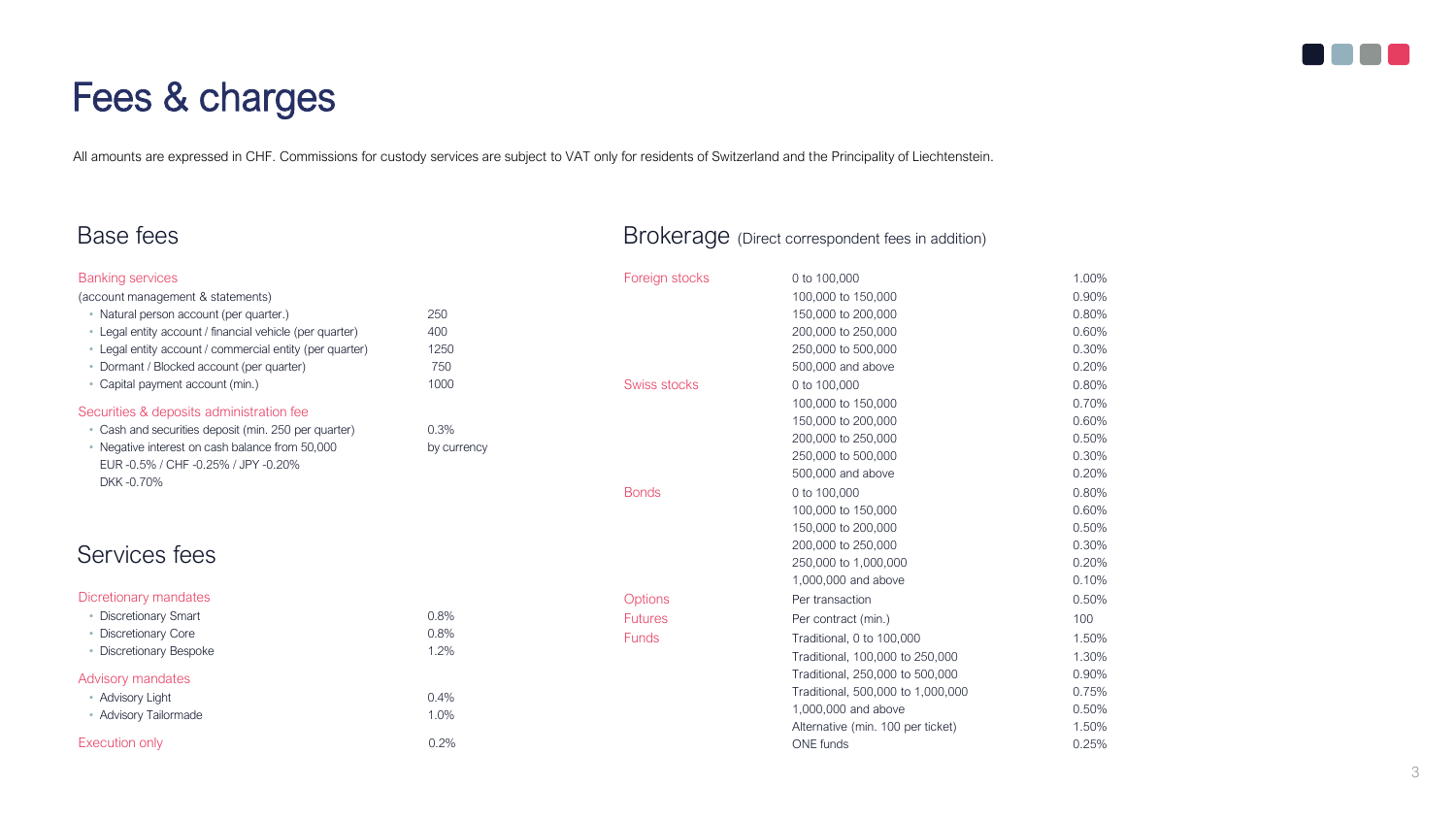

# Fees & charges

All amounts are expressed in CHF. Commissions for custody services are subject to VAT only for residents of Switzerland and the Principality of Liechtenstein.

### Base fees **Brokerage** (Direct correspondent fees in addition)

| <b>Banking services</b>                                  |             | Foreign stocks      | 0 to 100,000                      | 1.00% |
|----------------------------------------------------------|-------------|---------------------|-----------------------------------|-------|
| (account management & statements)                        |             |                     | 100,000 to 150,000                | 0.90% |
| • Natural person account (per quarter.)                  | 250         |                     | 150,000 to 200,000                | 0.80% |
| • Legal entity account / financial vehicle (per quarter) | 400         |                     | 200,000 to 250,000                | 0.60% |
| • Legal entity account / commercial entity (per quarter) | 1250        |                     | 250,000 to 500,000                | 0.30% |
| • Dormant / Blocked account (per quarter)                | 750         |                     | 500,000 and above                 | 0.20% |
| • Capital payment account (min.)                         | 1000        | <b>Swiss stocks</b> | 0 to 100,000                      | 0.80% |
| Securities & deposits administration fee                 |             |                     | 100,000 to 150,000                | 0.70% |
| • Cash and securities deposit (min. 250 per quarter)     | 0.3%        |                     | 150,000 to 200,000                | 0.60% |
| • Negative interest on cash balance from 50,000          | by currency |                     | 200,000 to 250,000                | 0.50% |
| EUR-0.5% / CHF-0.25% / JPY-0.20%                         |             |                     | 250,000 to 500,000                | 0.30% |
| DKK-0.70%                                                |             |                     | 500,000 and above                 | 0.20% |
|                                                          |             | <b>Bonds</b>        | 0 to 100,000                      | 0.80% |
|                                                          |             |                     | 100,000 to 150,000                | 0.60% |
|                                                          |             |                     | 150,000 to 200,000                | 0.50% |
| Services fees                                            |             |                     | 200,000 to 250,000                | 0.30% |
|                                                          |             |                     | 250,000 to 1,000,000              | 0.20% |
|                                                          |             |                     | 1,000,000 and above               | 0.10% |
| Dicretionary mandates                                    |             | <b>Options</b>      | Per transaction                   | 0.50% |
| • Discretionary Smart                                    | 0.8%        | <b>Futures</b>      | Per contract (min.)               | 100   |
| • Discretionary Core                                     | 0.8%        | <b>Funds</b>        | Traditional, 0 to 100,000         | 1.50% |
| • Discretionary Bespoke                                  | 1.2%        |                     | Traditional, 100,000 to 250,000   | 1.30% |
| Advisory mandates                                        |             |                     | Traditional, 250,000 to 500,000   | 0.90% |
| • Advisory Light                                         | 0.4%        |                     | Traditional, 500,000 to 1,000,000 | 0.75% |
| • Advisory Tailormade                                    | 1.0%        |                     | 1,000,000 and above               | 0.50% |
|                                                          |             |                     | Alternative (min. 100 per ticket) | 1.50% |
| <b>Execution only</b>                                    | 0.2%        |                     | ONE funds                         | 0.25% |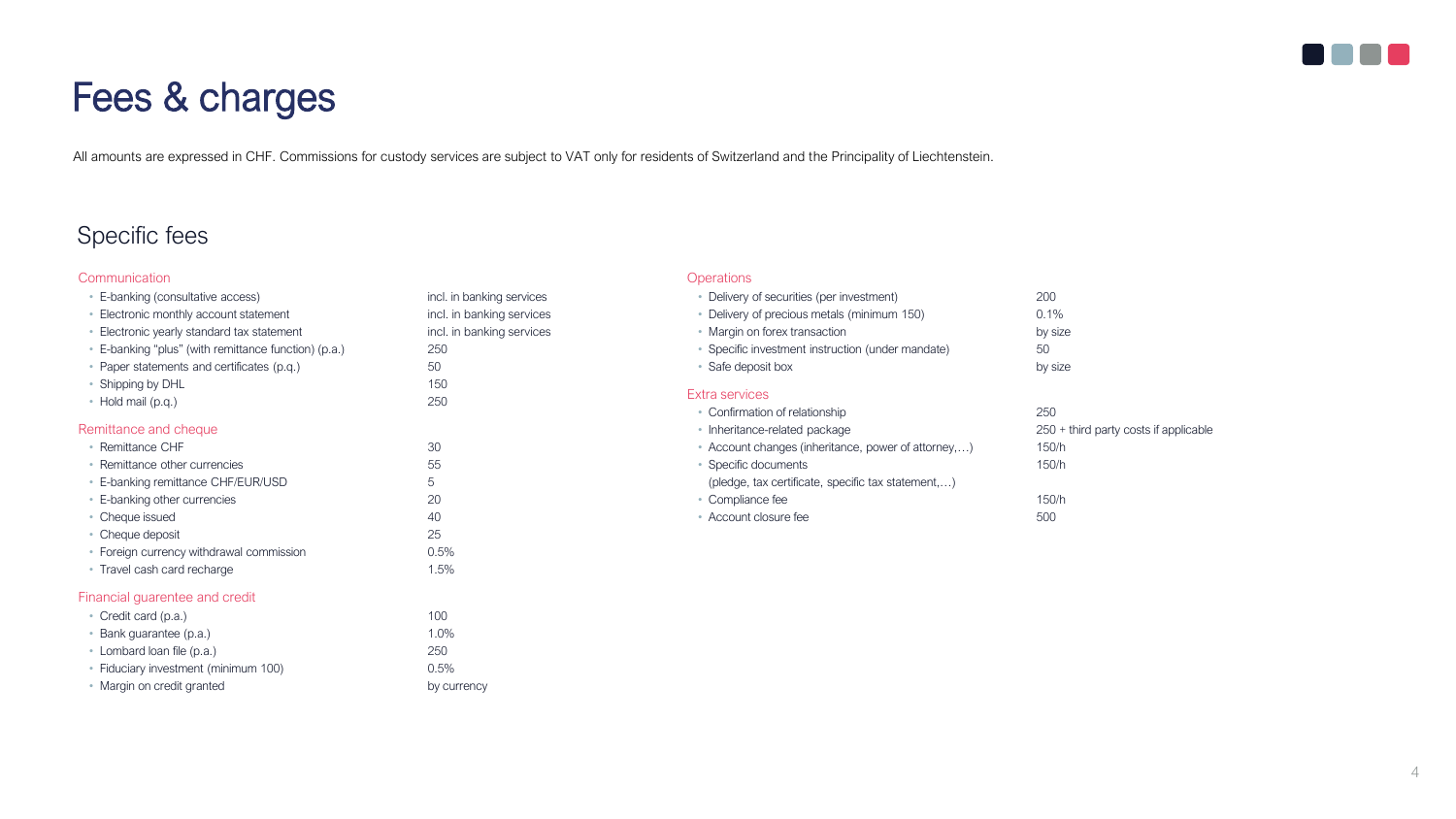

# Fees & charges

All amounts are expressed in CHF. Commissions for custody services are subject to VAT only for residents of Switzerland and the Principality of Liechtenstein.

## Specific fees

| Communication                                        |                           | <b>Operations</b>                                   |              |
|------------------------------------------------------|---------------------------|-----------------------------------------------------|--------------|
| • E-banking (consultative access)                    | incl. in banking services | • Delivery of securities (per investment)           | 200          |
| • Electronic monthly account statement               | incl. in banking services | • Delivery of precious metals (minimum 150)         | 0.1%         |
| • Electronic yearly standard tax statement           | incl. in banking services | • Margin on forex transaction                       | by siz       |
| • E-banking "plus" (with remittance function) (p.a.) | 250                       | • Specific investment instruction (under mandate)   | 50<br>by siz |
| • Paper statements and certificates (p.g.)           | 50                        | • Safe deposit box                                  |              |
| • Shipping by DHL                                    | 150                       |                                                     |              |
| • Hold mail (p.q.)                                   | 250                       | Extra services                                      |              |
|                                                      |                           | • Confirmation of relationship                      | 250          |
| Remittance and cheque                                |                           | • Inheritance-related package                       | $250 +$      |
| • Remittance CHF                                     | 30                        | • Account changes (inheritance, power of attorney,) | 150/h        |
| • Remittance other currencies                        | 55                        | • Specific documents                                | 150/h        |
| • E-banking remittance CHF/EUR/USD                   | 5                         | (pledge, tax certificate, specific tax statement,)  |              |
| • E-banking other currencies                         | 20                        | • Compliance fee                                    | 150/h        |
| • Cheque issued                                      | 40                        | • Account closure fee                               | 500          |
| • Cheque deposit                                     | 25                        |                                                     |              |
| • Foreign currency withdrawal commission             | 0.5%                      |                                                     |              |
| • Travel cash card recharge                          | 1.5%                      |                                                     |              |
| Financial guarentee and credit                       |                           |                                                     |              |
| • Credit card (p.a.)                                 | 100                       |                                                     |              |
| • Bank guarantee (p.a.)                              | 1.0%                      |                                                     |              |
| • Lombard loan file (p.a.)                           | 250                       |                                                     |              |
| • Fiduciary investment (minimum 100)                 | 0.5%                      |                                                     |              |
| • Margin on credit granted                           | by currency               |                                                     |              |
|                                                      |                           |                                                     |              |

 $250 +$  third party costs if applicable

by size

by size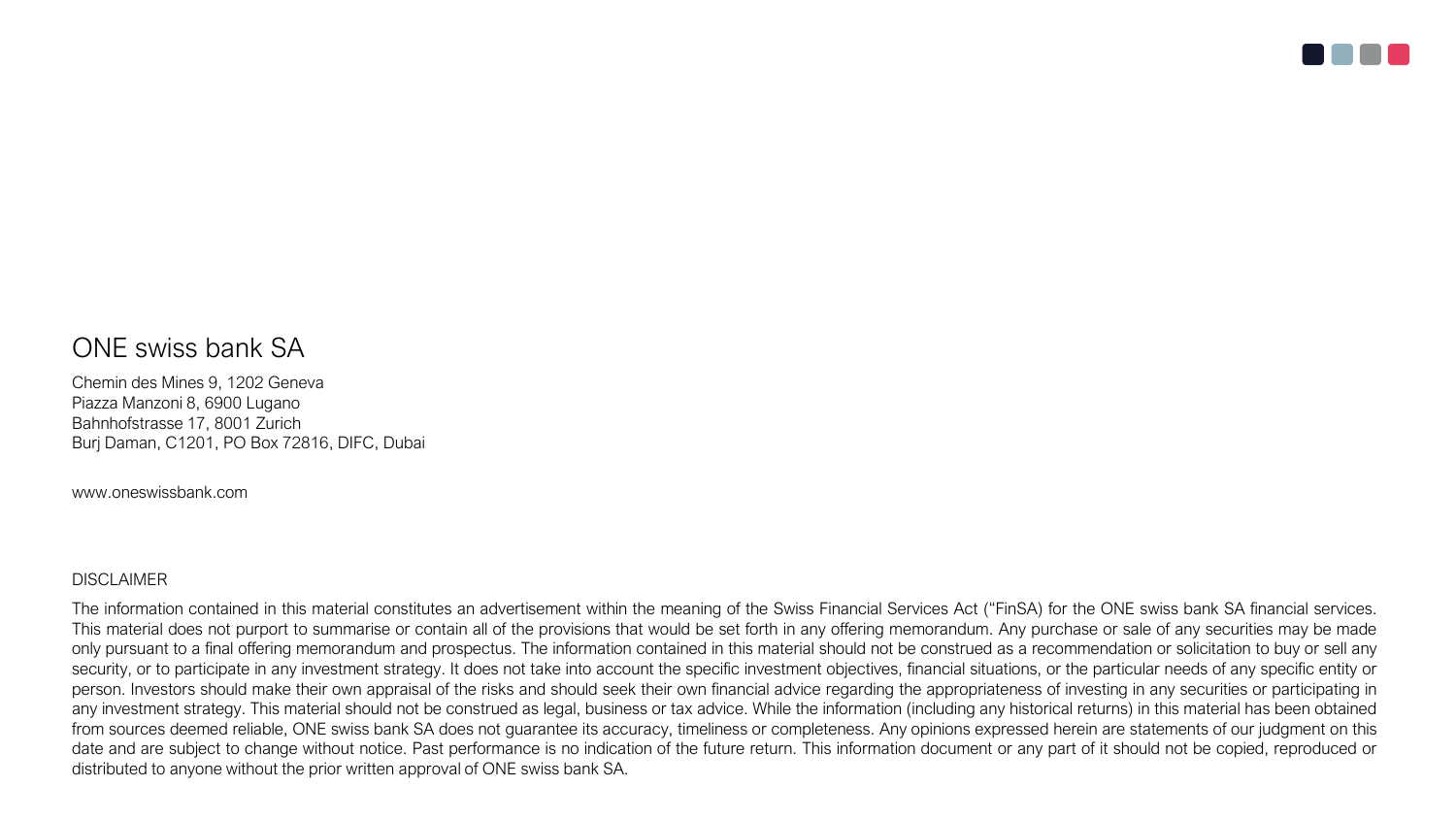

## ONE swiss bank SA

Chemin des Mines 9, 1202 Geneva Piazza Manzoni 8, 6900 Lugano Bahnhofstrasse 17, 8001 Zurich Burj Daman, C1201, PO Box 72816, DIFC, Dubai

www.oneswissbank.com

### DISCLAIMER

The information contained in this material constitutes an advertisement within the meaning of the Swiss Financial Services Act ("FinSA) for the ONE swiss bank SA financial services. This material does not purport to summarise or contain all of the provisions that would be set forth in any offering memorandum. Any purchase or sale of any securities may be made only pursuant to a final offering memorandum and prospectus. The information contained in this material should not be construed as a recommendation or solicitation to buy or sell any security, or to participate in any investment strategy. It does not take into account the specific investment objectives, financial situations, or the particular needs of any specific entity or person. Investors should make their own appraisal of the risks and should seek their own financial advice regarding the appropriateness of investing in any securities or participating in any investment strategy. This material should not be construed as legal, business or tax advice. While the information (including any historical returns) in this material has been obtained from sources deemed reliable, ONE swiss bank SA does not guarantee its accuracy, timeliness or completeness. Any opinions expressed herein are statements of our judgment on this date and are subject to change without notice. Past performance is no indication of the future return. This information document or any part of it should not be copied, reproduced or distributed to anyone without the prior written approval of ONE swiss bank SA.